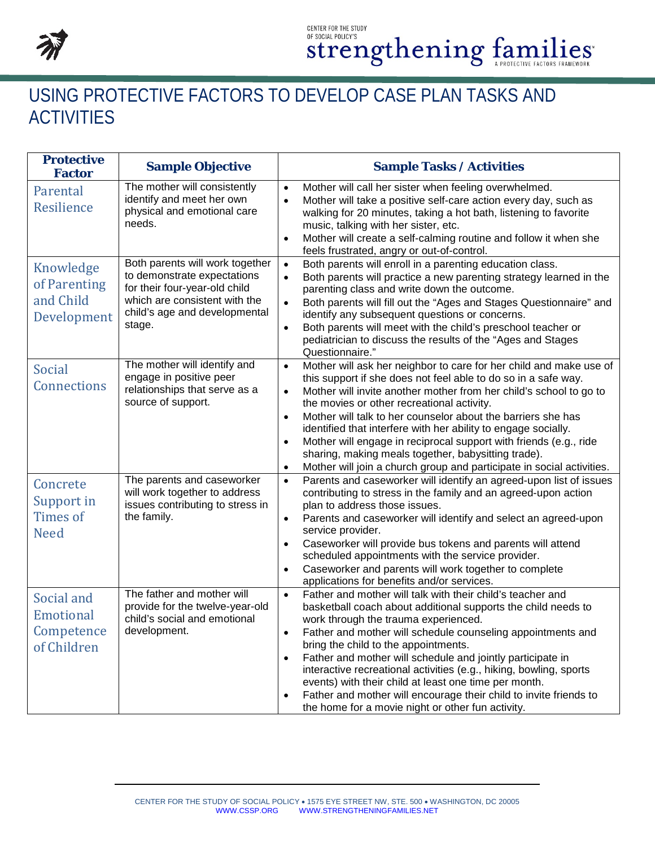

## USING PROTECTIVE FACTORS TO DEVELOP CASE PLAN TASKS AND **ACTIVITIES**

| <b>Protective</b><br><b>Factor</b>                          | <b>Sample Objective</b>                                                                                                                                                     | <b>Sample Tasks / Activities</b>                                                                                                                                                                                                                                                                                                                                                                                                                                                                                                                                                                                                                                 |
|-------------------------------------------------------------|-----------------------------------------------------------------------------------------------------------------------------------------------------------------------------|------------------------------------------------------------------------------------------------------------------------------------------------------------------------------------------------------------------------------------------------------------------------------------------------------------------------------------------------------------------------------------------------------------------------------------------------------------------------------------------------------------------------------------------------------------------------------------------------------------------------------------------------------------------|
| Parental<br>Resilience                                      | The mother will consistently<br>identify and meet her own<br>physical and emotional care<br>needs.                                                                          | Mother will call her sister when feeling overwhelmed.<br>$\bullet$<br>Mother will take a positive self-care action every day, such as<br>$\bullet$<br>walking for 20 minutes, taking a hot bath, listening to favorite<br>music, talking with her sister, etc.<br>Mother will create a self-calming routine and follow it when she<br>$\bullet$<br>feels frustrated, angry or out-of-control.                                                                                                                                                                                                                                                                    |
| Knowledge<br>of Parenting<br>and Child<br>Development       | Both parents will work together<br>to demonstrate expectations<br>for their four-year-old child<br>which are consistent with the<br>child's age and developmental<br>stage. | Both parents will enroll in a parenting education class.<br>$\bullet$<br>Both parents will practice a new parenting strategy learned in the<br>$\bullet$<br>parenting class and write down the outcome.<br>Both parents will fill out the "Ages and Stages Questionnaire" and<br>$\bullet$<br>identify any subsequent questions or concerns.<br>Both parents will meet with the child's preschool teacher or<br>$\bullet$<br>pediatrician to discuss the results of the "Ages and Stages<br>Questionnaire."                                                                                                                                                      |
| Social<br>Connections                                       | The mother will identify and<br>engage in positive peer<br>relationships that serve as a<br>source of support.                                                              | Mother will ask her neighbor to care for her child and make use of<br>$\bullet$<br>this support if she does not feel able to do so in a safe way.<br>Mother will invite another mother from her child's school to go to<br>$\bullet$<br>the movies or other recreational activity.<br>Mother will talk to her counselor about the barriers she has<br>$\bullet$<br>identified that interfere with her ability to engage socially.<br>Mother will engage in reciprocal support with friends (e.g., ride<br>$\bullet$<br>sharing, making meals together, babysitting trade).<br>Mother will join a church group and participate in social activities.<br>$\bullet$ |
| Concrete<br>Support in<br><b>Times of</b><br><b>Need</b>    | The parents and caseworker<br>will work together to address<br>issues contributing to stress in<br>the family.                                                              | Parents and caseworker will identify an agreed-upon list of issues<br>$\bullet$<br>contributing to stress in the family and an agreed-upon action<br>plan to address those issues.<br>Parents and caseworker will identify and select an agreed-upon<br>$\bullet$<br>service provider.<br>Caseworker will provide bus tokens and parents will attend<br>$\bullet$<br>scheduled appointments with the service provider.<br>Caseworker and parents will work together to complete<br>$\bullet$<br>applications for benefits and/or services.                                                                                                                       |
| Social and<br><b>Emotional</b><br>Competence<br>of Children | The father and mother will<br>provide for the twelve-year-old<br>child's social and emotional<br>development.                                                               | Father and mother will talk with their child's teacher and<br>$\bullet$<br>basketball coach about additional supports the child needs to<br>work through the trauma experienced.<br>Father and mother will schedule counseling appointments and<br>bring the child to the appointments.<br>Father and mother will schedule and jointly participate in<br>$\bullet$<br>interactive recreational activities (e.g., hiking, bowling, sports<br>events) with their child at least one time per month.<br>Father and mother will encourage their child to invite friends to<br>$\bullet$<br>the home for a movie night or other fun activity.                         |